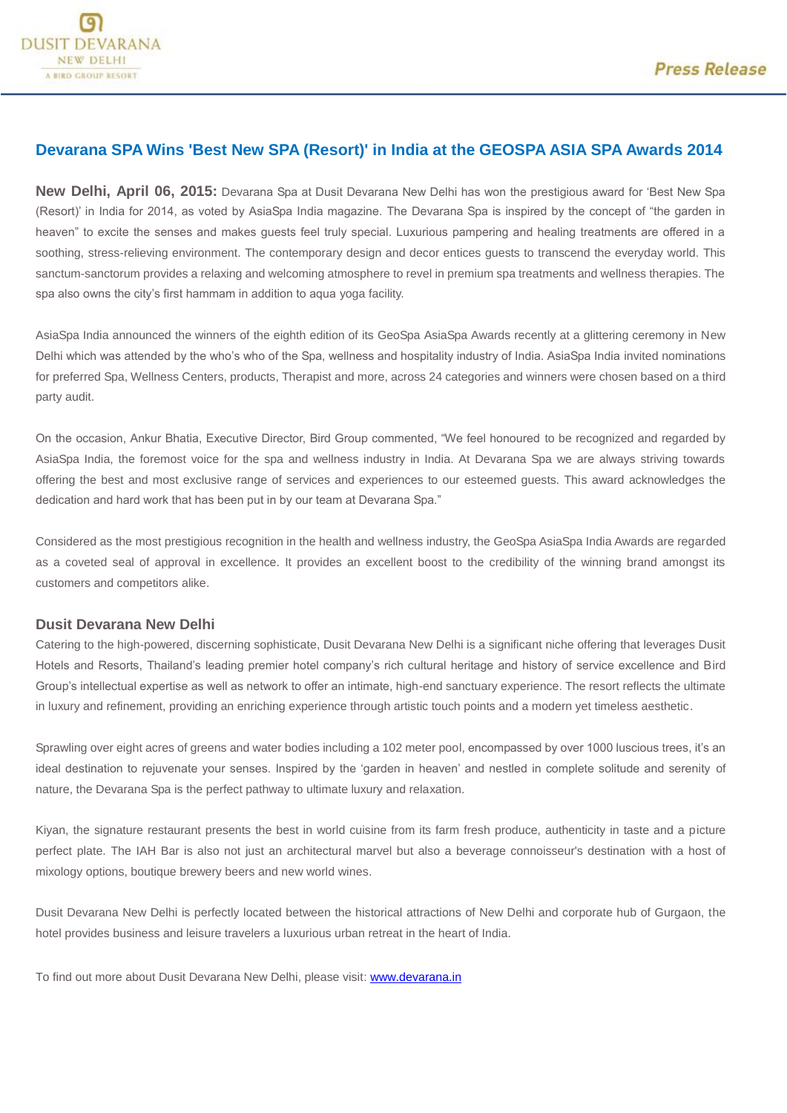## **Devarana SPA Wins 'Best New SPA (Resort)' in India at the GEOSPA ASIA SPA Awards 2014**

**New Delhi, April 06, 2015:** Devarana Spa at Dusit Devarana New Delhi has won the prestigious award for 'Best New Spa (Resort)' in India for 2014, as voted by AsiaSpa India magazine. The Devarana Spa is inspired by the concept of "the garden in heaven" to excite the senses and makes guests feel truly special. Luxurious pampering and healing treatments are offered in a soothing, stress-relieving environment. The contemporary design and decor entices guests to transcend the everyday world. This sanctum-sanctorum provides a relaxing and welcoming atmosphere to revel in premium spa treatments and wellness therapies. The spa also owns the city's first hammam in addition to aqua yoga facility.

AsiaSpa India announced the winners of the eighth edition of its GeoSpa AsiaSpa Awards recently at a glittering ceremony in New Delhi which was attended by the who's who of the Spa, wellness and hospitality industry of India. AsiaSpa India invited nominations for preferred Spa, Wellness Centers, products, Therapist and more, across 24 categories and winners were chosen based on a third party audit.

On the occasion, Ankur Bhatia, Executive Director, Bird Group commented, "We feel honoured to be recognized and regarded by AsiaSpa India, the foremost voice for the spa and wellness industry in India. At Devarana Spa we are always striving towards offering the best and most exclusive range of services and experiences to our esteemed guests. This award acknowledges the dedication and hard work that has been put in by our team at Devarana Spa."

Considered as the most prestigious recognition in the health and wellness industry, the GeoSpa AsiaSpa India Awards are regarded as a coveted seal of approval in excellence. It provides an excellent boost to the credibility of the winning brand amongst its customers and competitors alike.

## **Dusit Devarana New Delhi**

Catering to the high-powered, discerning sophisticate, Dusit Devarana New Delhi is a significant niche offering that leverages Dusit Hotels and Resorts, Thailand's leading premier hotel company's rich cultural heritage and history of service excellence and Bird Group's intellectual expertise as well as network to offer an intimate, high-end sanctuary experience. The resort reflects the ultimate in luxury and refinement, providing an enriching experience through artistic touch points and a modern yet timeless aesthetic.

Sprawling over eight acres of greens and water bodies including a 102 meter pool, encompassed by over 1000 luscious trees, it's an ideal destination to rejuvenate your senses. Inspired by the 'garden in heaven' and nestled in complete solitude and serenity of nature, the Devarana Spa is the perfect pathway to ultimate luxury and relaxation.

Kiyan, the signature restaurant presents the best in world cuisine from its farm fresh produce, authenticity in taste and a picture perfect plate. The IAH Bar is also not just an architectural marvel but also a beverage connoisseur's destination with a host of mixology options, boutique brewery beers and new world wines.

Dusit Devarana New Delhi is perfectly located between the historical attractions of New Delhi and corporate hub of Gurgaon, the hotel provides business and leisure travelers a luxurious urban retreat in the heart of India.

To find out more about Dusit Devarana New Delhi, please visit: [www.devarana.in](http://www.devarana.in/)